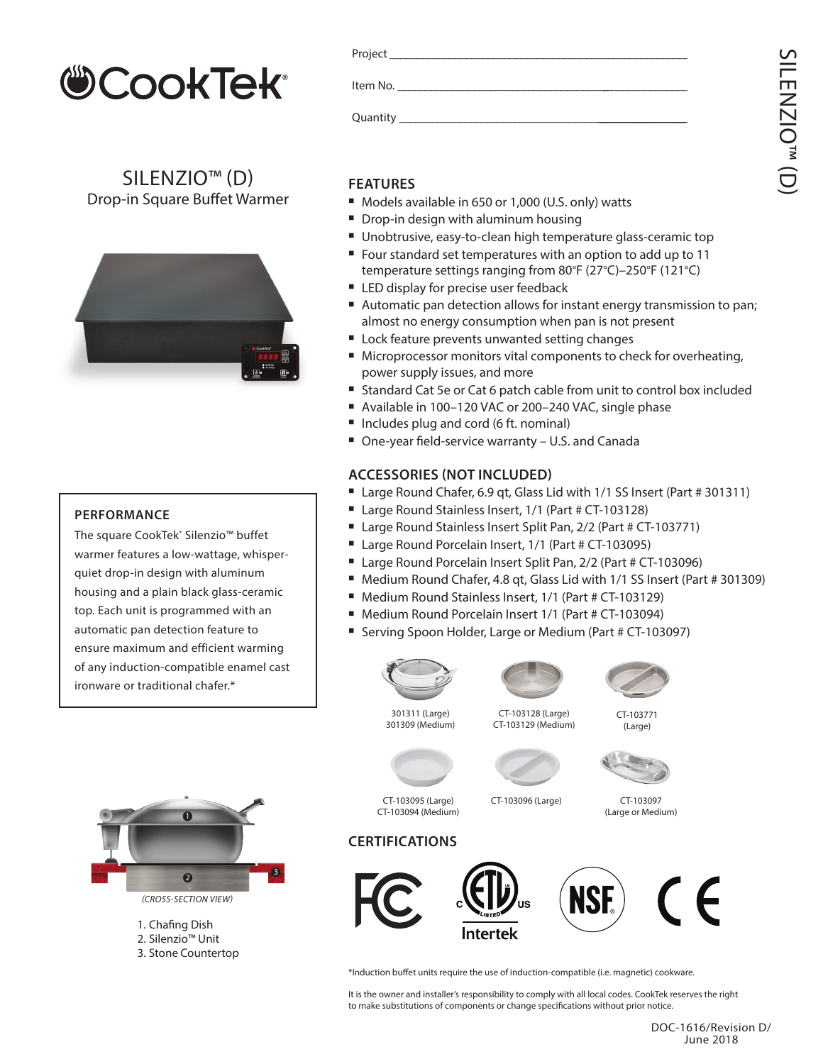

SILENZIO™ (D) Drop-in Square Buffet Warmer



### **PERFORMANCE**

The square CookTek® Silenzio™ buffet warmer features a low-wattage, whisperquiet drop-in design with aluminum housing and a plain black glass-ceramic top. Each unit is programmed with an automatic pan detection feature to ensure maximum and efficient warming of any induction-compatible enamel cast ironware or traditional chafer.\*

| Project Project |  |
|-----------------|--|
| Item No.        |  |
|                 |  |

## **FEATURES**

- <sup>n</sup> Models available in 650 or 1,000 (U.S. only) watts
- Drop-in design with aluminum housing
- Unobtrusive, easy-to-clean high temperature glass-ceramic top
- Four standard set temperatures with an option to add up to 11 temperature settings ranging from 80°F (27°C)–250°F (121°C)
- **EXEL** LED display for precise user feedback
- Automatic pan detection allows for instant energy transmission to pan; almost no energy consumption when pan is not present
- **E** Lock feature prevents unwanted setting changes
- Microprocessor monitors vital components to check for overheating, power supply issues, and more
- Standard Cat 5e or Cat 6 patch cable from unit to control box included
- Available in 100-120 VAC or 200-240 VAC, single phase
- Includes plug and cord (6 ft. nominal)
- One-year field-service warranty U.S. and Canada

### **ACCESSORIES (NOT INCLUDED)**

- Large Round Chafer, 6.9 qt, Glass Lid with 1/1 SS Insert (Part # 301311)
- Large Round Stainless Insert, 1/1 (Part # CT-103128)
- Large Round Stainless Insert Split Pan, 2/2 (Part # CT-103771)
- Large Round Porcelain Insert, 1/1 (Part # CT-103095)
- Large Round Porcelain Insert Split Pan, 2/2 (Part # CT-103096)
- Medium Round Chafer, 4.8 qt, Glass Lid with 1/1 SS Insert (Part # 301309)
- <sup>n</sup> Medium Round Stainless Insert, 1/1 (Part # CT-103129)
- <sup>n</sup> Medium Round Porcelain Insert 1/1 (Part # CT-103094)
- **5** Serving Spoon Holder, Large or Medium (Part # CT-103097)



CT-103095 (Large) CT-103094 (Medium)

301311 (Large) 301309 (Medium)









CT-103097 (Large or Medium)

# **CERTIFICATIONS**



CT-103096 (Large)

CT-103128 (Large) CT-103129 (Medium)

\*Induction buffet units require the use of induction-compatible (i.e. magnetic) cookware.

It is the owner and installer's responsibility to comply with all local codes. CookTek reserves the right to make substitutions of components or change specifications without prior notice.



*(CROSS-SECTION VIEW)*

1. Chafing Dish 2. Silenzio™ Unit 3. Stone Countertop